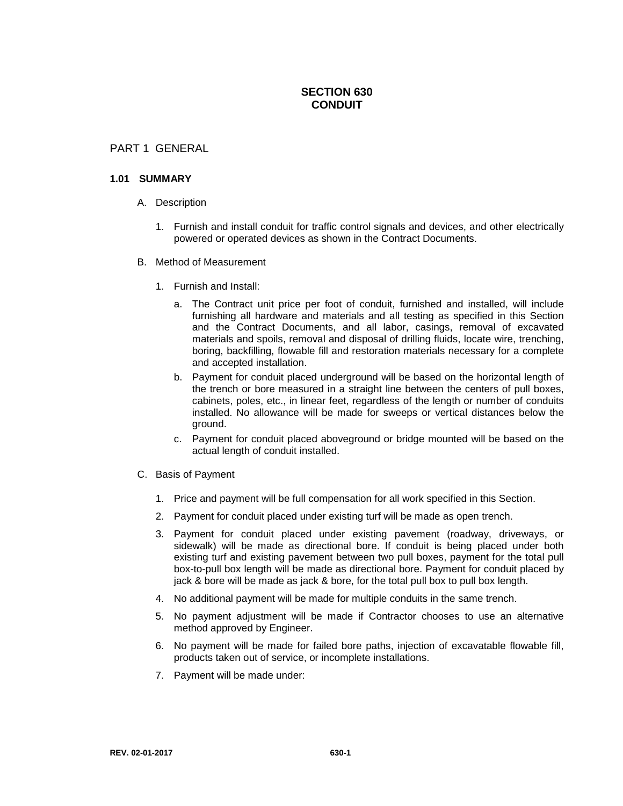# **SECTION 630 CONDUIT**

## PART 1 GENERAL

#### **1.01 SUMMARY**

- A. Description
	- 1. Furnish and install conduit for traffic control signals and devices, and other electrically powered or operated devices as shown in the Contract Documents.
- B. Method of Measurement
	- 1. Furnish and Install:
		- a. The Contract unit price per foot of conduit, furnished and installed, will include furnishing all hardware and materials and all testing as specified in this Section and the Contract Documents, and all labor, casings, removal of excavated materials and spoils, removal and disposal of drilling fluids, locate wire, trenching, boring, backfilling, flowable fill and restoration materials necessary for a complete and accepted installation.
		- b. Payment for conduit placed underground will be based on the horizontal length of the trench or bore measured in a straight line between the centers of pull boxes, cabinets, poles, etc., in linear feet, regardless of the length or number of conduits installed. No allowance will be made for sweeps or vertical distances below the ground.
		- c. Payment for conduit placed aboveground or bridge mounted will be based on the actual length of conduit installed.
- C. Basis of Payment
	- 1. Price and payment will be full compensation for all work specified in this Section.
	- 2. Payment for conduit placed under existing turf will be made as open trench.
	- 3. Payment for conduit placed under existing pavement (roadway, driveways, or sidewalk) will be made as directional bore. If conduit is being placed under both existing turf and existing pavement between two pull boxes, payment for the total pull box-to-pull box length will be made as directional bore. Payment for conduit placed by jack & bore will be made as jack & bore, for the total pull box to pull box length.
	- 4. No additional payment will be made for multiple conduits in the same trench.
	- 5. No payment adjustment will be made if Contractor chooses to use an alternative method approved by Engineer.
	- 6. No payment will be made for failed bore paths, injection of excavatable flowable fill, products taken out of service, or incomplete installations.
	- 7. Payment will be made under: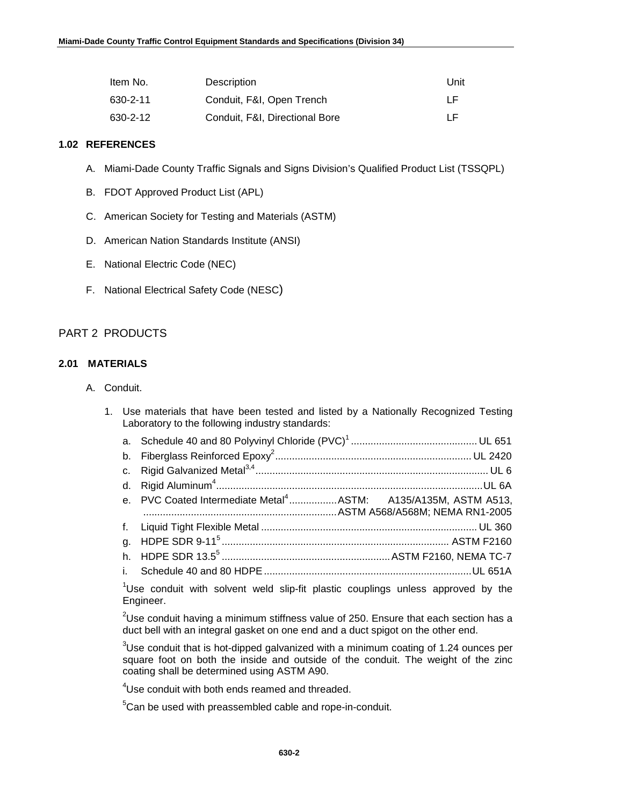| Item No. | Description                    | Unit |
|----------|--------------------------------|------|
| 630-2-11 | Conduit, F&I, Open Trench      | TE.  |
| 630-2-12 | Conduit, F&I, Directional Bore | TE.  |

#### **1.02 REFERENCES**

- A. Miami-Dade County Traffic Signals and Signs Division's Qualified Product List (TSSQPL)
- B. FDOT Approved Product List (APL)
- C. American Society for Testing and Materials (ASTM)
- D. American Nation Standards Institute (ANSI)
- E. National Electric Code (NEC)
- F. National Electrical Safety Code (NESC)

## PART 2 PRODUCTS

## **2.01 MATERIALS**

- A. Conduit.
	- 1. Use materials that have been tested and listed by a Nationally Recognized Testing Laboratory to the following industry standards:

| e. PVC Coated Intermediate Metal <sup>4</sup> ASTM: A135/A135M, ASTM A513,                   |  |
|----------------------------------------------------------------------------------------------|--|
|                                                                                              |  |
|                                                                                              |  |
|                                                                                              |  |
|                                                                                              |  |
| <sup>1</sup> Use conduit with solvent weld slip-fit plastic couplings unless approved by the |  |

Use conduit with solvent weld slip-fit plastic couplings unless approved by the Engineer.

 $^{2}$ Use conduit having a minimum stiffness value of 250. Ensure that each section has a duct bell with an integral gasket on one end and a duct spigot on the other end.

 $3$ Use conduit that is hot-dipped galvanized with a minimum coating of 1.24 ounces per square foot on both the inside and outside of the conduit. The weight of the zinc coating shall be determined using ASTM A90.

<sup>4</sup>Use conduit with both ends reamed and threaded.

 ${}^{5}$ Can be used with preassembled cable and rope-in-conduit.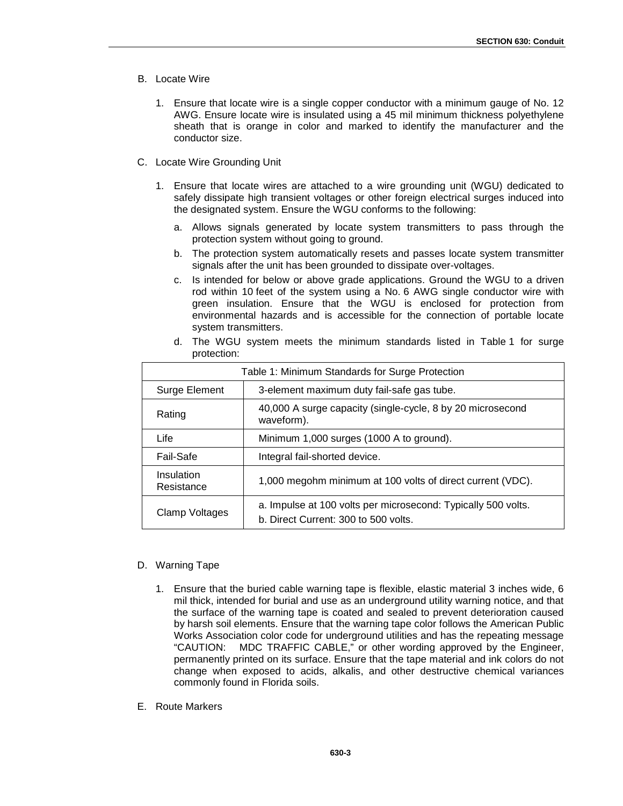- B. Locate Wire
	- 1. Ensure that locate wire is a single copper conductor with a minimum gauge of No. 12 AWG. Ensure locate wire is insulated using a 45 mil minimum thickness polyethylene sheath that is orange in color and marked to identify the manufacturer and the conductor size.
- C. Locate Wire Grounding Unit
	- 1. Ensure that locate wires are attached to a wire grounding unit (WGU) dedicated to safely dissipate high transient voltages or other foreign electrical surges induced into the designated system. Ensure the WGU conforms to the following:
		- a. Allows signals generated by locate system transmitters to pass through the protection system without going to ground.
		- b. The protection system automatically resets and passes locate system transmitter signals after the unit has been grounded to dissipate over-voltages.
		- c. Is intended for below or above grade applications. Ground the WGU to a driven rod within 10 feet of the system using a No. 6 AWG single conductor wire with green insulation. Ensure that the WGU is enclosed for protection from environmental hazards and is accessible for the connection of portable locate system transmitters.

| Table 1: Minimum Standards for Surge Protection |                                                                                                       |  |  |
|-------------------------------------------------|-------------------------------------------------------------------------------------------------------|--|--|
| Surge Element                                   | 3-element maximum duty fail-safe gas tube.                                                            |  |  |
| Rating                                          | 40,000 A surge capacity (single-cycle, 8 by 20 microsecond<br>waveform).                              |  |  |
| Life                                            | Minimum 1,000 surges (1000 A to ground).                                                              |  |  |
| Fail-Safe                                       | Integral fail-shorted device.                                                                         |  |  |
| Insulation<br>Resistance                        | 1,000 megohm minimum at 100 volts of direct current (VDC).                                            |  |  |
| Clamp Voltages                                  | a. Impulse at 100 volts per microsecond: Typically 500 volts.<br>b. Direct Current: 300 to 500 volts. |  |  |

d. The WGU system meets the minimum standards listed in Table 1 for surge protection:

### D. Warning Tape

- 1. Ensure that the buried cable warning tape is flexible, elastic material 3 inches wide, 6 mil thick, intended for burial and use as an underground utility warning notice, and that the surface of the warning tape is coated and sealed to prevent deterioration caused by harsh soil elements. Ensure that the warning tape color follows the American Public Works Association color code for underground utilities and has the repeating message "CAUTION: MDC TRAFFIC CABLE," or other wording approved by the Engineer, permanently printed on its surface. Ensure that the tape material and ink colors do not change when exposed to acids, alkalis, and other destructive chemical variances commonly found in Florida soils.
- E. Route Markers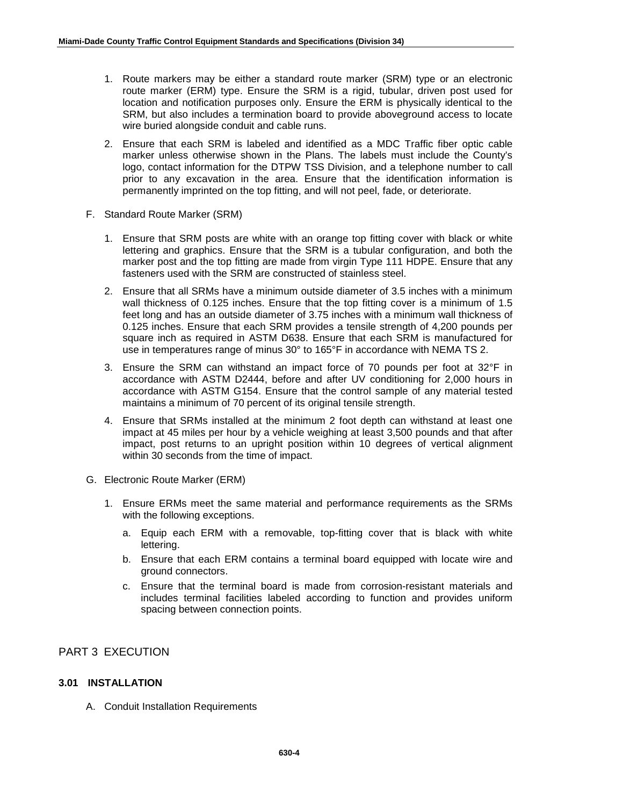- 1. Route markers may be either a standard route marker (SRM) type or an electronic route marker (ERM) type. Ensure the SRM is a rigid, tubular, driven post used for location and notification purposes only. Ensure the ERM is physically identical to the SRM, but also includes a termination board to provide aboveground access to locate wire buried alongside conduit and cable runs.
- 2. Ensure that each SRM is labeled and identified as a MDC Traffic fiber optic cable marker unless otherwise shown in the Plans. The labels must include the County's logo, contact information for the DTPW TSS Division, and a telephone number to call prior to any excavation in the area. Ensure that the identification information is permanently imprinted on the top fitting, and will not peel, fade, or deteriorate.
- F. Standard Route Marker (SRM)
	- 1. Ensure that SRM posts are white with an orange top fitting cover with black or white lettering and graphics. Ensure that the SRM is a tubular configuration, and both the marker post and the top fitting are made from virgin Type 111 HDPE. Ensure that any fasteners used with the SRM are constructed of stainless steel.
	- 2. Ensure that all SRMs have a minimum outside diameter of 3.5 inches with a minimum wall thickness of 0.125 inches. Ensure that the top fitting cover is a minimum of 1.5 feet long and has an outside diameter of 3.75 inches with a minimum wall thickness of 0.125 inches. Ensure that each SRM provides a tensile strength of 4,200 pounds per square inch as required in ASTM D638. Ensure that each SRM is manufactured for use in temperatures range of minus 30° to 165°F in accordance with NEMA TS 2.
	- 3. Ensure the SRM can withstand an impact force of 70 pounds per foot at 32°F in accordance with ASTM D2444, before and after UV conditioning for 2,000 hours in accordance with ASTM G154. Ensure that the control sample of any material tested maintains a minimum of 70 percent of its original tensile strength.
	- 4. Ensure that SRMs installed at the minimum 2 foot depth can withstand at least one impact at 45 miles per hour by a vehicle weighing at least 3,500 pounds and that after impact, post returns to an upright position within 10 degrees of vertical alignment within 30 seconds from the time of impact.
- G. Electronic Route Marker (ERM)
	- 1. Ensure ERMs meet the same material and performance requirements as the SRMs with the following exceptions.
		- a. Equip each ERM with a removable, top-fitting cover that is black with white lettering.
		- b. Ensure that each ERM contains a terminal board equipped with locate wire and ground connectors.
		- c. Ensure that the terminal board is made from corrosion-resistant materials and includes terminal facilities labeled according to function and provides uniform spacing between connection points.

## PART 3 EXECUTION

### **3.01 INSTALLATION**

A. Conduit Installation Requirements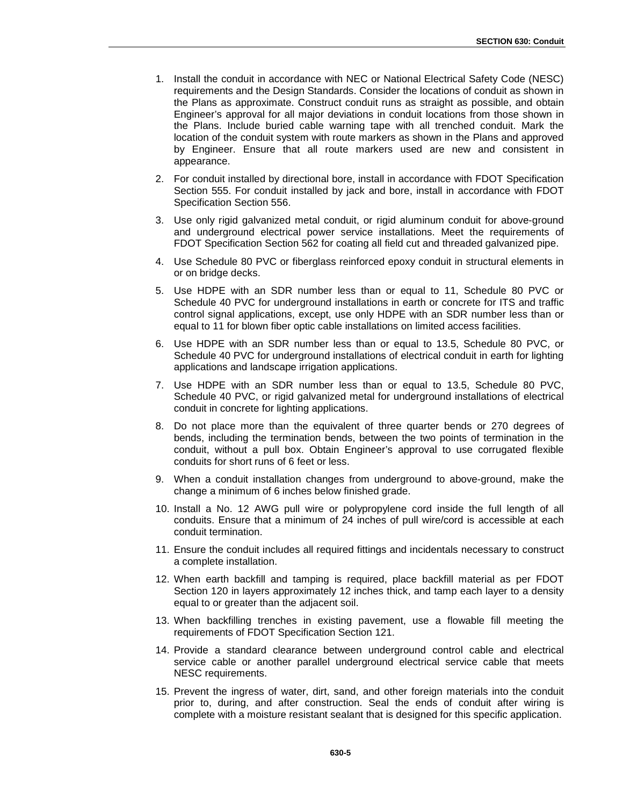- 1. Install the conduit in accordance with NEC or National Electrical Safety Code (NESC) requirements and the Design Standards. Consider the locations of conduit as shown in the Plans as approximate. Construct conduit runs as straight as possible, and obtain Engineer's approval for all major deviations in conduit locations from those shown in the Plans. Include buried cable warning tape with all trenched conduit. Mark the location of the conduit system with route markers as shown in the Plans and approved by Engineer. Ensure that all route markers used are new and consistent in appearance.
- 2. For conduit installed by directional bore, install in accordance with FDOT Specification Section 555. For conduit installed by jack and bore, install in accordance with FDOT Specification Section 556.
- 3. Use only rigid galvanized metal conduit, or rigid aluminum conduit for above-ground and underground electrical power service installations. Meet the requirements of FDOT Specification Section 562 for coating all field cut and threaded galvanized pipe.
- 4. Use Schedule 80 PVC or fiberglass reinforced epoxy conduit in structural elements in or on bridge decks.
- 5. Use HDPE with an SDR number less than or equal to 11, Schedule 80 PVC or Schedule 40 PVC for underground installations in earth or concrete for ITS and traffic control signal applications, except, use only HDPE with an SDR number less than or equal to 11 for blown fiber optic cable installations on limited access facilities.
- 6. Use HDPE with an SDR number less than or equal to 13.5, Schedule 80 PVC, or Schedule 40 PVC for underground installations of electrical conduit in earth for lighting applications and landscape irrigation applications.
- 7. Use HDPE with an SDR number less than or equal to 13.5, Schedule 80 PVC, Schedule 40 PVC, or rigid galvanized metal for underground installations of electrical conduit in concrete for lighting applications.
- 8. Do not place more than the equivalent of three quarter bends or 270 degrees of bends, including the termination bends, between the two points of termination in the conduit, without a pull box. Obtain Engineer's approval to use corrugated flexible conduits for short runs of 6 feet or less.
- 9. When a conduit installation changes from underground to above-ground, make the change a minimum of 6 inches below finished grade.
- 10. Install a No. 12 AWG pull wire or polypropylene cord inside the full length of all conduits. Ensure that a minimum of 24 inches of pull wire/cord is accessible at each conduit termination.
- 11. Ensure the conduit includes all required fittings and incidentals necessary to construct a complete installation.
- 12. When earth backfill and tamping is required, place backfill material as per FDOT Section 120 in layers approximately 12 inches thick, and tamp each layer to a density equal to or greater than the adjacent soil.
- 13. When backfilling trenches in existing pavement, use a flowable fill meeting the requirements of FDOT Specification Section 121.
- 14. Provide a standard clearance between underground control cable and electrical service cable or another parallel underground electrical service cable that meets NESC requirements.
- 15. Prevent the ingress of water, dirt, sand, and other foreign materials into the conduit prior to, during, and after construction. Seal the ends of conduit after wiring is complete with a moisture resistant sealant that is designed for this specific application.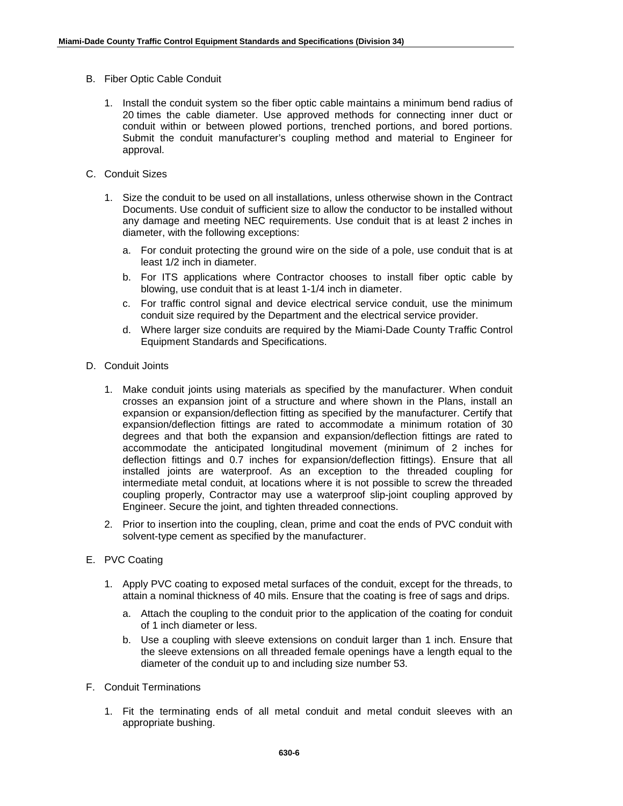- B. Fiber Optic Cable Conduit
	- 1. Install the conduit system so the fiber optic cable maintains a minimum bend radius of 20 times the cable diameter. Use approved methods for connecting inner duct or conduit within or between plowed portions, trenched portions, and bored portions. Submit the conduit manufacturer's coupling method and material to Engineer for approval.
- C. Conduit Sizes
	- 1. Size the conduit to be used on all installations, unless otherwise shown in the Contract Documents. Use conduit of sufficient size to allow the conductor to be installed without any damage and meeting NEC requirements. Use conduit that is at least 2 inches in diameter, with the following exceptions:
		- a. For conduit protecting the ground wire on the side of a pole, use conduit that is at least 1/2 inch in diameter.
		- b. For ITS applications where Contractor chooses to install fiber optic cable by blowing, use conduit that is at least 1-1/4 inch in diameter.
		- c. For traffic control signal and device electrical service conduit, use the minimum conduit size required by the Department and the electrical service provider.
		- d. Where larger size conduits are required by the Miami-Dade County Traffic Control Equipment Standards and Specifications.
- D. Conduit Joints
	- 1. Make conduit joints using materials as specified by the manufacturer. When conduit crosses an expansion joint of a structure and where shown in the Plans, install an expansion or expansion/deflection fitting as specified by the manufacturer. Certify that expansion/deflection fittings are rated to accommodate a minimum rotation of 30 degrees and that both the expansion and expansion/deflection fittings are rated to accommodate the anticipated longitudinal movement (minimum of 2 inches for deflection fittings and 0.7 inches for expansion/deflection fittings). Ensure that all installed joints are waterproof. As an exception to the threaded coupling for intermediate metal conduit, at locations where it is not possible to screw the threaded coupling properly, Contractor may use a waterproof slip-joint coupling approved by Engineer. Secure the joint, and tighten threaded connections.
	- 2. Prior to insertion into the coupling, clean, prime and coat the ends of PVC conduit with solvent-type cement as specified by the manufacturer.
- E. PVC Coating
	- 1. Apply PVC coating to exposed metal surfaces of the conduit, except for the threads, to attain a nominal thickness of 40 mils. Ensure that the coating is free of sags and drips.
		- a. Attach the coupling to the conduit prior to the application of the coating for conduit of 1 inch diameter or less.
		- b. Use a coupling with sleeve extensions on conduit larger than 1 inch. Ensure that the sleeve extensions on all threaded female openings have a length equal to the diameter of the conduit up to and including size number 53.
- F. Conduit Terminations
	- 1. Fit the terminating ends of all metal conduit and metal conduit sleeves with an appropriate bushing.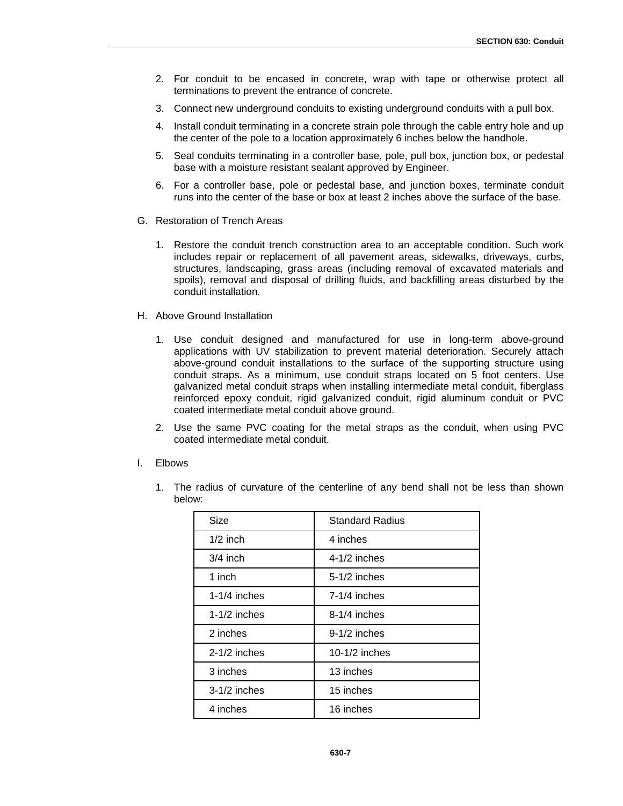- 2. For conduit to be encased in concrete, wrap with tape or otherwise protect all terminations to prevent the entrance of concrete.
- 3. Connect new underground conduits to existing underground conduits with a pull box.
- 4. Install conduit terminating in a concrete strain pole through the cable entry hole and up the center of the pole to a location approximately 6 inches below the handhole.
- 5. Seal conduits terminating in a controller base, pole, pull box, junction box, or pedestal base with a moisture resistant sealant approved by Engineer.
- 6. For a controller base, pole or pedestal base, and junction boxes, terminate conduit runs into the center of the base or box at least 2 inches above the surface of the base.
- G. Restoration of Trench Areas
	- 1. Restore the conduit trench construction area to an acceptable condition. Such work includes repair or replacement of all pavement areas, sidewalks, driveways, curbs, structures, landscaping, grass areas (including removal of excavated materials and spoils), removal and disposal of drilling fluids, and backfilling areas disturbed by the conduit installation.
- H. Above Ground Installation
	- 1. Use conduit designed and manufactured for use in long-term above-ground applications with UV stabilization to prevent material deterioration. Securely attach above-ground conduit installations to the surface of the supporting structure using conduit straps. As a minimum, use conduit straps located on 5 foot centers. Use galvanized metal conduit straps when installing intermediate metal conduit, fiberglass reinforced epoxy conduit, rigid galvanized conduit, rigid aluminum conduit or PVC coated intermediate metal conduit above ground.
	- 2. Use the same PVC coating for the metal straps as the conduit, when using PVC coated intermediate metal conduit.
- I. Elbows

| Size           | <b>Standard Radius</b> |
|----------------|------------------------|
| $1/2$ inch     | 4 inches               |
| $3/4$ inch     | $4-1/2$ inches         |
| 1 inch         | $5-1/2$ inches         |
| $1-1/4$ inches | $7-1/4$ inches         |
| $1-1/2$ inches | $8-1/4$ inches         |
| 2 inches       | $9-1/2$ inches         |
| $2-1/2$ inches | 10-1/2 inches          |
| 3 inches       | 13 inches              |
| $3-1/2$ inches | 15 inches              |
| 4 inches       | 16 inches              |

1. The radius of curvature of the centerline of any bend shall not be less than shown below: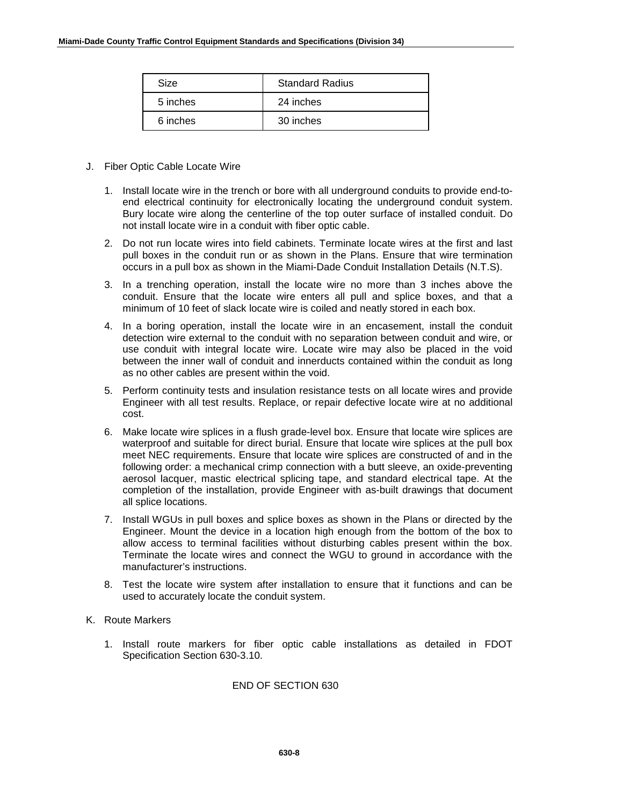| Size     | <b>Standard Radius</b> |
|----------|------------------------|
| 5 inches | 24 inches              |
| 6 inches | 30 inches              |

- J. Fiber Optic Cable Locate Wire
	- 1. Install locate wire in the trench or bore with all underground conduits to provide end-toend electrical continuity for electronically locating the underground conduit system. Bury locate wire along the centerline of the top outer surface of installed conduit. Do not install locate wire in a conduit with fiber optic cable.
	- 2. Do not run locate wires into field cabinets. Terminate locate wires at the first and last pull boxes in the conduit run or as shown in the Plans. Ensure that wire termination occurs in a pull box as shown in the Miami-Dade Conduit Installation Details (N.T.S).
	- 3. In a trenching operation, install the locate wire no more than 3 inches above the conduit. Ensure that the locate wire enters all pull and splice boxes, and that a minimum of 10 feet of slack locate wire is coiled and neatly stored in each box.
	- 4. In a boring operation, install the locate wire in an encasement, install the conduit detection wire external to the conduit with no separation between conduit and wire, or use conduit with integral locate wire. Locate wire may also be placed in the void between the inner wall of conduit and innerducts contained within the conduit as long as no other cables are present within the void.
	- 5. Perform continuity tests and insulation resistance tests on all locate wires and provide Engineer with all test results. Replace, or repair defective locate wire at no additional cost.
	- 6. Make locate wire splices in a flush grade-level box. Ensure that locate wire splices are waterproof and suitable for direct burial. Ensure that locate wire splices at the pull box meet NEC requirements. Ensure that locate wire splices are constructed of and in the following order: a mechanical crimp connection with a butt sleeve, an oxide-preventing aerosol lacquer, mastic electrical splicing tape, and standard electrical tape. At the completion of the installation, provide Engineer with as-built drawings that document all splice locations.
	- 7. Install WGUs in pull boxes and splice boxes as shown in the Plans or directed by the Engineer. Mount the device in a location high enough from the bottom of the box to allow access to terminal facilities without disturbing cables present within the box. Terminate the locate wires and connect the WGU to ground in accordance with the manufacturer's instructions.
	- 8. Test the locate wire system after installation to ensure that it functions and can be used to accurately locate the conduit system.

#### K. Route Markers

1. Install route markers for fiber optic cable installations as detailed in FDOT Specification Section 630-3.10.

### END OF SECTION 630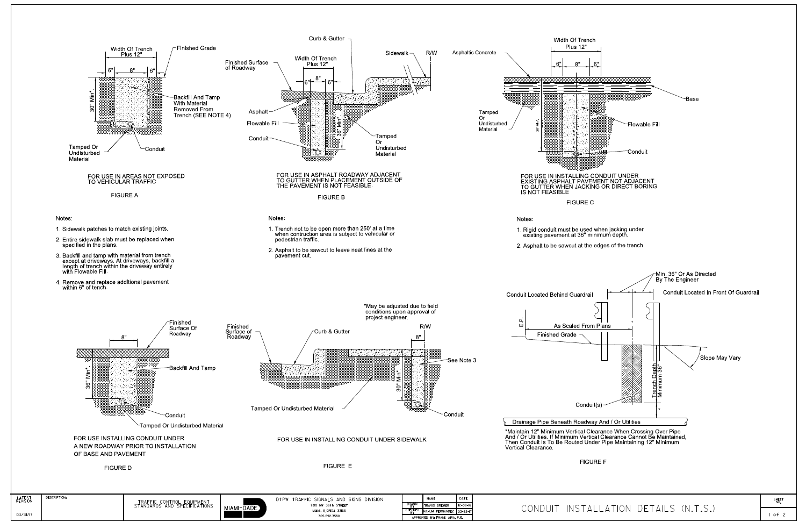

LATEST<br>REVISION

03/31/17

 $1 of 2$ 

SHEET<br>NO.